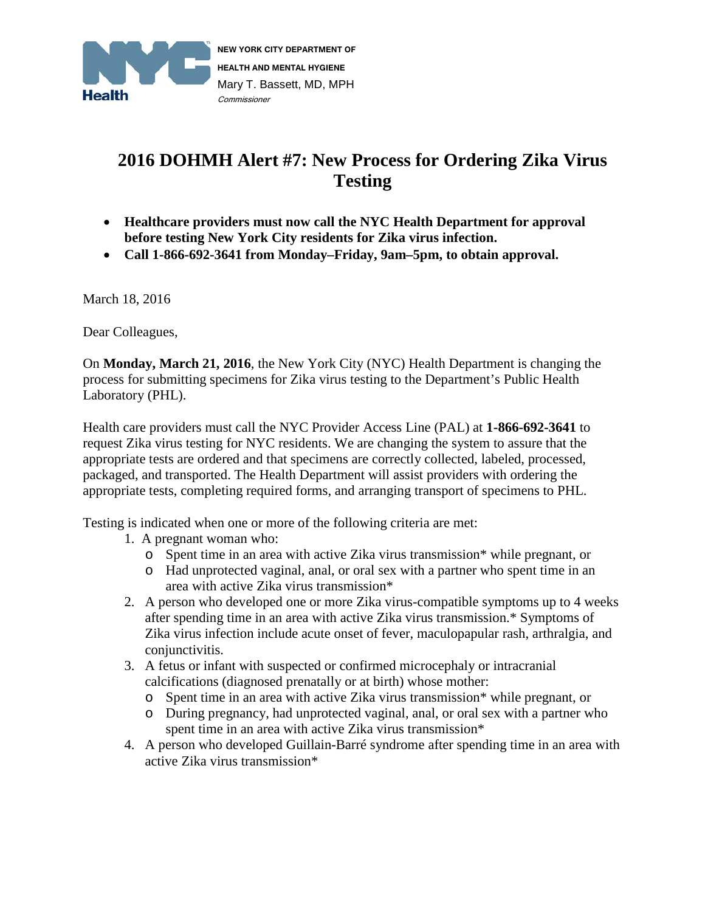

# **2016 DOHMH Alert #7: New Process for Ordering Zika Virus Testing**

- **Healthcare providers must now call the NYC Health Department for approval before testing New York City residents for Zika virus infection.**
- **Call 1-866-692-3641 from Monday–Friday, 9am–5pm, to obtain approval.**

March 18, 2016

Dear Colleagues,

On **Monday, March 21, 2016**, the New York City (NYC) Health Department is changing the process for submitting specimens for Zika virus testing to the Department's Public Health Laboratory (PHL).

Health care providers must call the NYC Provider Access Line (PAL) at **1-866-692-3641** to request Zika virus testing for NYC residents. We are changing the system to assure that the appropriate tests are ordered and that specimens are correctly collected, labeled, processed, packaged, and transported. The Health Department will assist providers with ordering the appropriate tests, completing required forms, and arranging transport of specimens to PHL.

Testing is indicated when one or more of the following criteria are met:

- 1. A pregnant woman who:
	- o Spent time in an area with active Zika virus transmission\* while pregnant, or
	- o Had unprotected vaginal, anal, or oral sex with a partner who spent time in an area with active Zika virus transmission\*
- 2. A person who developed one or more Zika virus-compatible symptoms up to 4 weeks after spending time in an area with active Zika virus transmission.\* Symptoms of Zika virus infection include acute onset of fever, maculopapular rash, arthralgia, and conjunctivitis.
- 3. A fetus or infant with suspected or confirmed microcephaly or intracranial calcifications (diagnosed prenatally or at birth) whose mother:
	- o Spent time in an area with active Zika virus transmission\* while pregnant, or
	- o During pregnancy, had unprotected vaginal, anal, or oral sex with a partner who spent time in an area with active Zika virus transmission\*
- 4. A person who developed Guillain-Barré syndrome after spending time in an area with active Zika virus transmission\*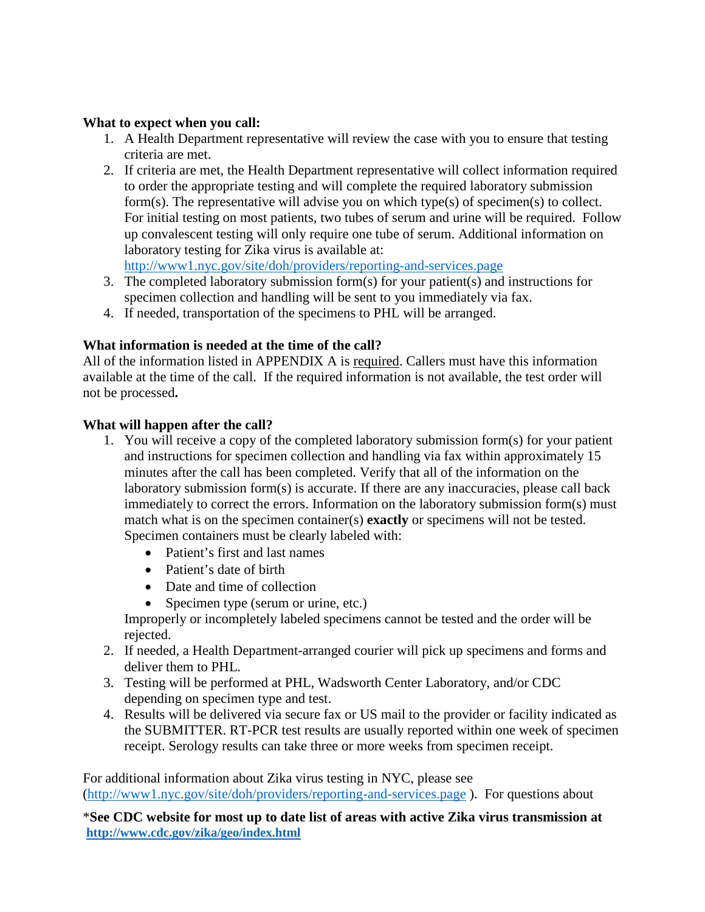# **What to expect when you call:**

- 1. A Health Department representative will review the case with you to ensure that testing criteria are met.
- 2. If criteria are met, the Health Department representative will collect information required to order the appropriate testing and will complete the required laboratory submission form(s). The representative will advise you on which type(s) of specimen(s) to collect. For initial testing on most patients, two tubes of serum and urine will be required. Follow up convalescent testing will only require one tube of serum. Additional information on laboratory testing for Zika virus is available at:

<http://www1.nyc.gov/site/doh/providers/reporting-and-services.page>

- 3. The completed laboratory submission form(s) for your patient(s) and instructions for specimen collection and handling will be sent to you immediately via fax.
- 4. If needed, transportation of the specimens to PHL will be arranged.

# **What information is needed at the time of the call?**

All of the information listed in APPENDIX A is required. Callers must have this information available at the time of the call. If the required information is not available, the test order will not be processed**.**

## **What will happen after the call?**

- 1. You will receive a copy of the completed laboratory submission form(s) for your patient and instructions for specimen collection and handling via fax within approximately 15 minutes after the call has been completed. Verify that all of the information on the laboratory submission form(s) is accurate. If there are any inaccuracies, please call back immediately to correct the errors. Information on the laboratory submission form(s) must match what is on the specimen container(s) **exactly** or specimens will not be tested. Specimen containers must be clearly labeled with:
	- Patient's first and last names
	- Patient's date of birth
	- Date and time of collection
	- Specimen type (serum or urine, etc.)

Improperly or incompletely labeled specimens cannot be tested and the order will be rejected.

- 2. If needed, a Health Department-arranged courier will pick up specimens and forms and deliver them to PHL.
- 3. Testing will be performed at PHL, Wadsworth Center Laboratory, and/or CDC depending on specimen type and test.
- 4. Results will be delivered via secure fax or US mail to the provider or facility indicated as the SUBMITTER. RT-PCR test results are usually reported within one week of specimen receipt. Serology results can take three or more weeks from specimen receipt.

For additional information about Zika virus testing in NYC, please see [\(http://www1.nyc.gov/site/doh/providers/reporting-and-services.page](http://www1.nyc.gov/site/doh/providers/reporting-and-services.page) ). For questions about

\***See CDC website for most up to date list of areas with active Zika virus transmission at <http://www.cdc.gov/zika/geo/index.html>**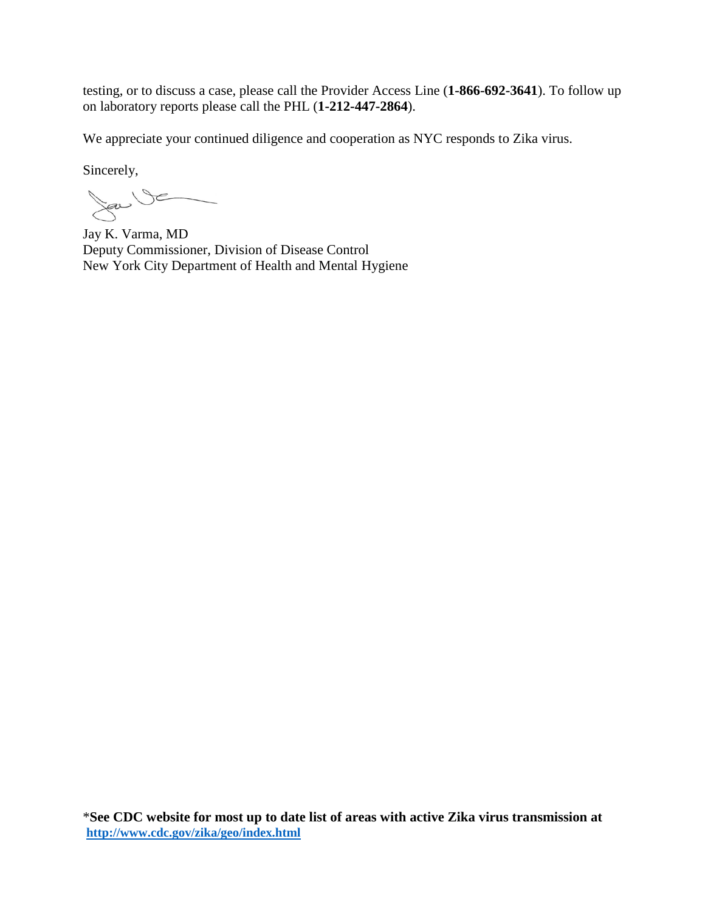testing, or to discuss a case, please call the Provider Access Line (**1-866-692-3641**). To follow up on laboratory reports please call the PHL (**1-212-447-2864**).

We appreciate your continued diligence and cooperation as NYC responds to Zika virus.

Sincerely,

Sau VE

Jay K. Varma, MD Deputy Commissioner, Division of Disease Control New York City Department of Health and Mental Hygiene